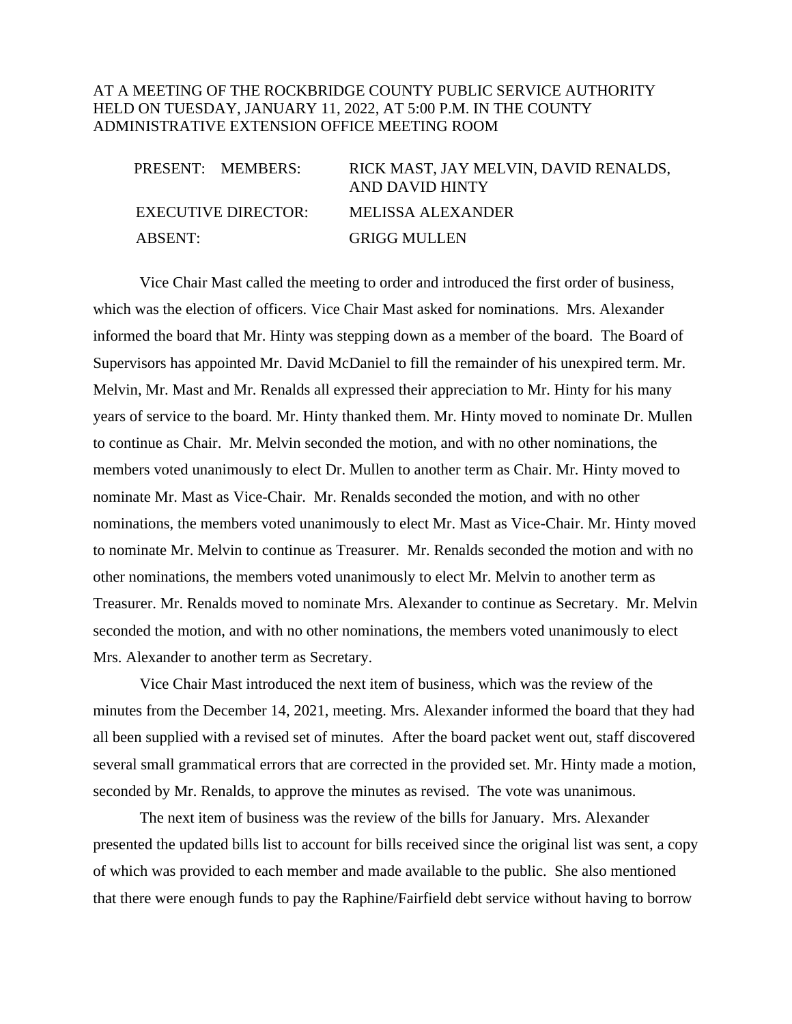## AT A MEETING OF THE ROCKBRIDGE COUNTY PUBLIC SERVICE AUTHORITY HELD ON TUESDAY, JANUARY 11, 2022, AT 5:00 P.M. IN THE COUNTY ADMINISTRATIVE EXTENSION OFFICE MEETING ROOM

| PRESENT: MEMBERS:   | RICK MAST, JAY MELVIN, DAVID RENALDS,<br>AND DAVID HINTY |
|---------------------|----------------------------------------------------------|
| EXECUTIVE DIRECTOR: | MELISSA ALEXANDER                                        |
| ABSENT:             | <b>GRIGG MULLEN</b>                                      |

Vice Chair Mast called the meeting to order and introduced the first order of business, which was the election of officers. Vice Chair Mast asked for nominations. Mrs. Alexander informed the board that Mr. Hinty was stepping down as a member of the board. The Board of Supervisors has appointed Mr. David McDaniel to fill the remainder of his unexpired term. Mr. Melvin, Mr. Mast and Mr. Renalds all expressed their appreciation to Mr. Hinty for his many years of service to the board. Mr. Hinty thanked them. Mr. Hinty moved to nominate Dr. Mullen to continue as Chair. Mr. Melvin seconded the motion, and with no other nominations, the members voted unanimously to elect Dr. Mullen to another term as Chair. Mr. Hinty moved to nominate Mr. Mast as Vice-Chair. Mr. Renalds seconded the motion, and with no other nominations, the members voted unanimously to elect Mr. Mast as Vice-Chair. Mr. Hinty moved to nominate Mr. Melvin to continue as Treasurer. Mr. Renalds seconded the motion and with no other nominations, the members voted unanimously to elect Mr. Melvin to another term as Treasurer. Mr. Renalds moved to nominate Mrs. Alexander to continue as Secretary. Mr. Melvin seconded the motion, and with no other nominations, the members voted unanimously to elect Mrs. Alexander to another term as Secretary.

Vice Chair Mast introduced the next item of business, which was the review of the minutes from the December 14, 2021, meeting. Mrs. Alexander informed the board that they had all been supplied with a revised set of minutes. After the board packet went out, staff discovered several small grammatical errors that are corrected in the provided set. Mr. Hinty made a motion, seconded by Mr. Renalds, to approve the minutes as revised. The vote was unanimous.

The next item of business was the review of the bills for January. Mrs. Alexander presented the updated bills list to account for bills received since the original list was sent, a copy of which was provided to each member and made available to the public. She also mentioned that there were enough funds to pay the Raphine/Fairfield debt service without having to borrow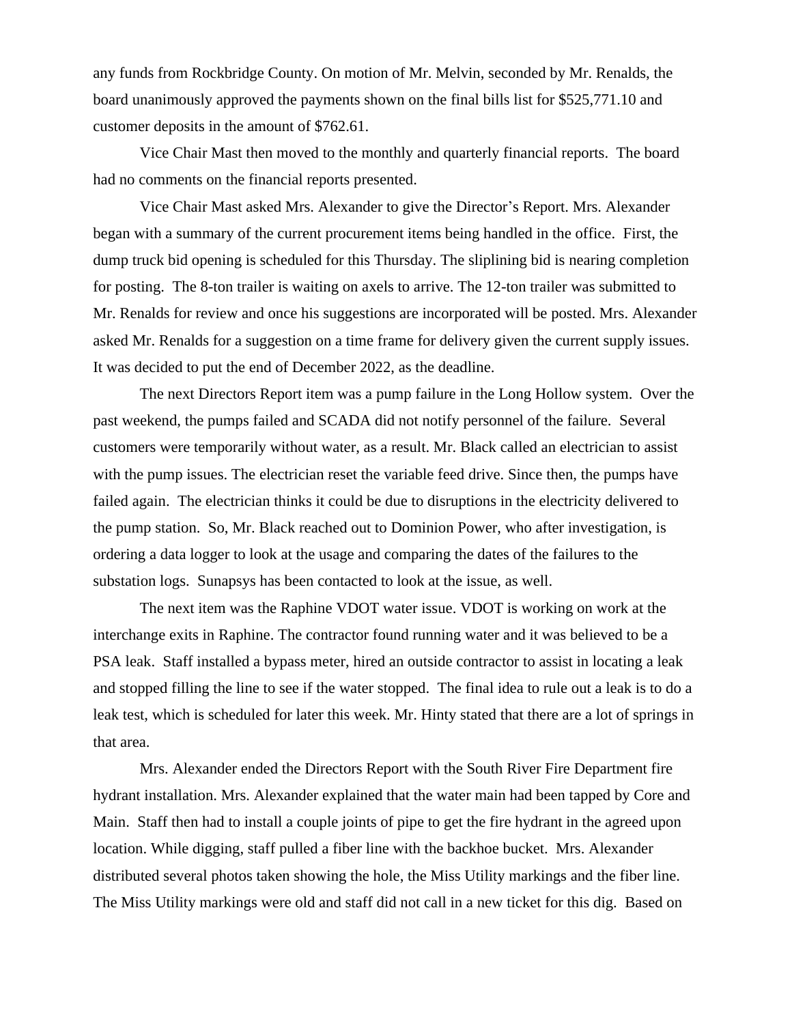any funds from Rockbridge County. On motion of Mr. Melvin, seconded by Mr. Renalds, the board unanimously approved the payments shown on the final bills list for \$525,771.10 and customer deposits in the amount of \$762.61.

Vice Chair Mast then moved to the monthly and quarterly financial reports. The board had no comments on the financial reports presented.

Vice Chair Mast asked Mrs. Alexander to give the Director's Report. Mrs. Alexander began with a summary of the current procurement items being handled in the office. First, the dump truck bid opening is scheduled for this Thursday. The sliplining bid is nearing completion for posting. The 8-ton trailer is waiting on axels to arrive. The 12-ton trailer was submitted to Mr. Renalds for review and once his suggestions are incorporated will be posted. Mrs. Alexander asked Mr. Renalds for a suggestion on a time frame for delivery given the current supply issues. It was decided to put the end of December 2022, as the deadline.

The next Directors Report item was a pump failure in the Long Hollow system. Over the past weekend, the pumps failed and SCADA did not notify personnel of the failure. Several customers were temporarily without water, as a result. Mr. Black called an electrician to assist with the pump issues. The electrician reset the variable feed drive. Since then, the pumps have failed again. The electrician thinks it could be due to disruptions in the electricity delivered to the pump station. So, Mr. Black reached out to Dominion Power, who after investigation, is ordering a data logger to look at the usage and comparing the dates of the failures to the substation logs. Sunapsys has been contacted to look at the issue, as well.

The next item was the Raphine VDOT water issue. VDOT is working on work at the interchange exits in Raphine. The contractor found running water and it was believed to be a PSA leak. Staff installed a bypass meter, hired an outside contractor to assist in locating a leak and stopped filling the line to see if the water stopped. The final idea to rule out a leak is to do a leak test, which is scheduled for later this week. Mr. Hinty stated that there are a lot of springs in that area.

Mrs. Alexander ended the Directors Report with the South River Fire Department fire hydrant installation. Mrs. Alexander explained that the water main had been tapped by Core and Main. Staff then had to install a couple joints of pipe to get the fire hydrant in the agreed upon location. While digging, staff pulled a fiber line with the backhoe bucket. Mrs. Alexander distributed several photos taken showing the hole, the Miss Utility markings and the fiber line. The Miss Utility markings were old and staff did not call in a new ticket for this dig. Based on